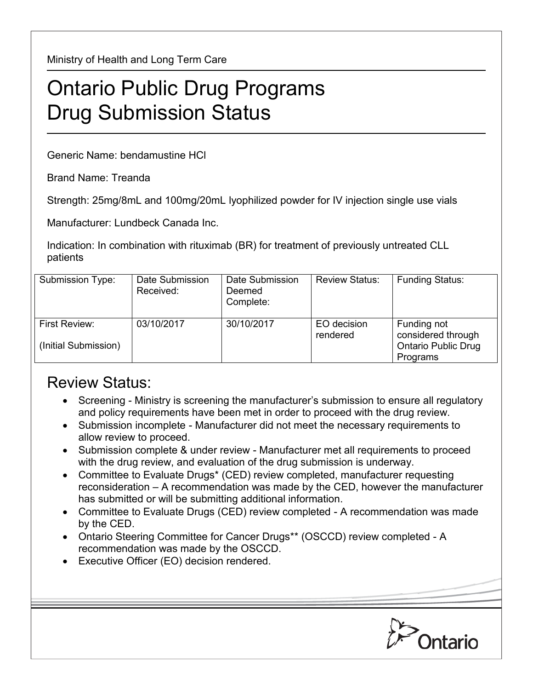Ministry of Health and Long Term Care

## Ontario Public Drug Programs Drug Submission Status

Generic Name: bendamustine HCl

Brand Name: Treanda

Strength: 25mg/8mL and 100mg/20mL lyophilized powder for IV injection single use vials

Manufacturer: Lundbeck Canada Inc.

Indication: In combination with rituximab (BR) for treatment of previously untreated CLL patients

| Submission Type:                      | Date Submission<br>Received: | Date Submission<br>Deemed<br>Complete: | <b>Review Status:</b>   | <b>Funding Status:</b>                                                      |
|---------------------------------------|------------------------------|----------------------------------------|-------------------------|-----------------------------------------------------------------------------|
| First Review:<br>(Initial Submission) | 03/10/2017                   | 30/10/2017                             | EO decision<br>rendered | Funding not<br>considered through<br><b>Ontario Public Drug</b><br>Programs |

## Review Status:

- Screening Ministry is screening the manufacturer's submission to ensure all regulatory and policy requirements have been met in order to proceed with the drug review.
- Submission incomplete Manufacturer did not meet the necessary requirements to allow review to proceed.
- Submission complete & under review Manufacturer met all requirements to proceed with the drug review, and evaluation of the drug submission is underway.
- Committee to Evaluate Drugs\* (CED) review completed, manufacturer requesting reconsideration – A recommendation was made by the CED, however the manufacturer has submitted or will be submitting additional information.
- Committee to Evaluate Drugs (CED) review completed A recommendation was made by the CED.
- Ontario Steering Committee for Cancer Drugs\*\* (OSCCD) review completed A recommendation was made by the OSCCD.
- Executive Officer (EO) decision rendered.